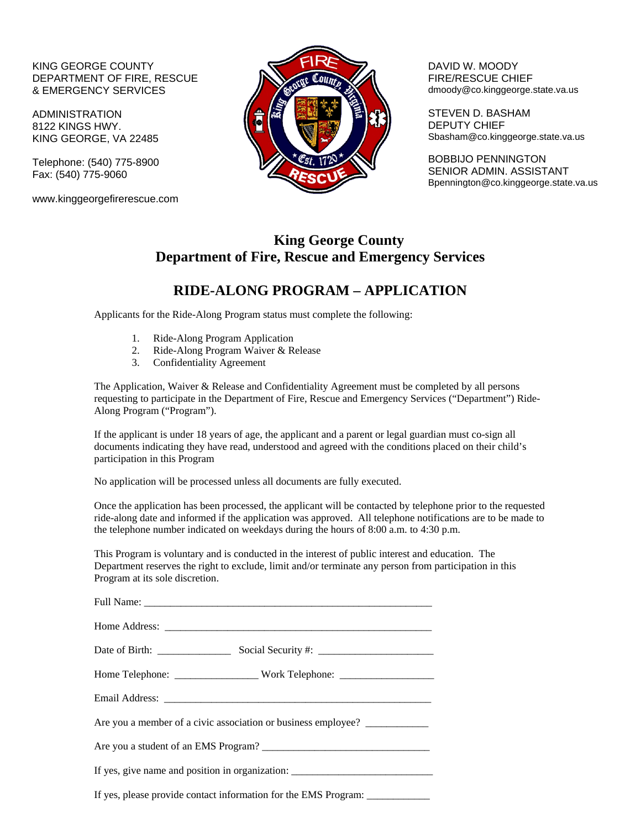### KING GEORGE COUNTY DEPARTMENT OF FIRE, RESCUE & EMERGENCY SERVICES

ADMINISTRATION 8122 KINGS HWY. KING GEORGE, VA 22485

Telephone: (540) 775-8900 Fax: (540) 775-9060

www.kinggeorgefirerescue.com



 DAVID W. MOODY FIRE/RESCUE CHIEF dmoody@co.kinggeorge.state.va.us

STEVEN D. BASHAM DEPUTY CHIEF Sbasham@co.kinggeorge.state.va.us

BOBBIJO PENNINGTON SENIOR ADMIN. ASSISTANT Bpennington@co.kinggeorge.state.va.us

## **King George County Department of Fire, Rescue and Emergency Services**

## **RIDE-ALONG PROGRAM – APPLICATION**

Applicants for the Ride-Along Program status must complete the following:

- 1. Ride-Along Program Application
- 2. Ride-Along Program Waiver & Release
- 3. Confidentiality Agreement

The Application, Waiver & Release and Confidentiality Agreement must be completed by all persons requesting to participate in the Department of Fire, Rescue and Emergency Services ("Department") Ride-Along Program ("Program").

If the applicant is under 18 years of age, the applicant and a parent or legal guardian must co-sign all documents indicating they have read, understood and agreed with the conditions placed on their child's participation in this Program

No application will be processed unless all documents are fully executed.

Once the application has been processed, the applicant will be contacted by telephone prior to the requested ride-along date and informed if the application was approved. All telephone notifications are to be made to the telephone number indicated on weekdays during the hours of 8:00 a.m. to 4:30 p.m.

This Program is voluntary and is conducted in the interest of public interest and education. The Department reserves the right to exclude, limit and/or terminate any person from participation in this Program at its sole discretion.

| Are you a member of a civic association or business employee? _____________      |  |  |
|----------------------------------------------------------------------------------|--|--|
|                                                                                  |  |  |
| If yes, give name and position in organization: ________________________________ |  |  |
| If yes, please provide contact information for the EMS Program: _______________  |  |  |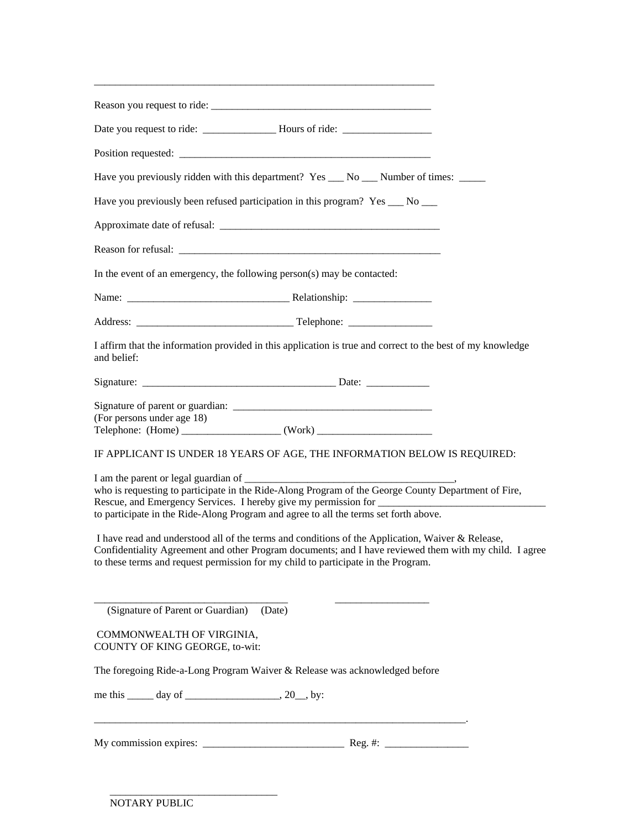| Have you previously ridden with this department? Yes ___ No ___ Number of times: _____                                                                                                                                                                                                                                                                                                                                                                                                                                                                                                                                                                                                         |
|------------------------------------------------------------------------------------------------------------------------------------------------------------------------------------------------------------------------------------------------------------------------------------------------------------------------------------------------------------------------------------------------------------------------------------------------------------------------------------------------------------------------------------------------------------------------------------------------------------------------------------------------------------------------------------------------|
| Have you previously been refused participation in this program? Yes __ No __                                                                                                                                                                                                                                                                                                                                                                                                                                                                                                                                                                                                                   |
|                                                                                                                                                                                                                                                                                                                                                                                                                                                                                                                                                                                                                                                                                                |
|                                                                                                                                                                                                                                                                                                                                                                                                                                                                                                                                                                                                                                                                                                |
| In the event of an emergency, the following person(s) may be contacted:                                                                                                                                                                                                                                                                                                                                                                                                                                                                                                                                                                                                                        |
|                                                                                                                                                                                                                                                                                                                                                                                                                                                                                                                                                                                                                                                                                                |
|                                                                                                                                                                                                                                                                                                                                                                                                                                                                                                                                                                                                                                                                                                |
| I affirm that the information provided in this application is true and correct to the best of my knowledge<br>and belief:                                                                                                                                                                                                                                                                                                                                                                                                                                                                                                                                                                      |
| Signature: Date: Date:                                                                                                                                                                                                                                                                                                                                                                                                                                                                                                                                                                                                                                                                         |
| (For persons under age 18)<br>Telephone: (Home) ________________________(Work) ________________________________<br>IF APPLICANT IS UNDER 18 YEARS OF AGE, THE INFORMATION BELOW IS REQUIRED:<br>who is requesting to participate in the Ride-Along Program of the George County Department of Fire,<br>to participate in the Ride-Along Program and agree to all the terms set forth above.<br>I have read and understood all of the terms and conditions of the Application, Waiver & Release,<br>Confidentiality Agreement and other Program documents; and I have reviewed them with my child. I agree<br>to these terms and request permission for my child to participate in the Program. |
| (Signature of Parent or Guardian)<br>(Date)<br>COMMONWEALTH OF VIRGINIA,<br>COUNTY OF KING GEORGE, to-wit:<br>The foregoing Ride-a-Long Program Waiver & Release was acknowledged before<br>me this $\_\_\_\$ day of $\_\_\_\_\_\$ , 20, by:                                                                                                                                                                                                                                                                                                                                                                                                                                                   |
|                                                                                                                                                                                                                                                                                                                                                                                                                                                                                                                                                                                                                                                                                                |

\_\_\_\_\_\_\_\_\_\_\_\_\_\_\_\_\_\_\_\_\_\_\_\_\_\_\_\_\_\_\_\_\_\_\_\_\_\_\_\_\_\_\_\_\_\_\_\_\_\_\_\_\_\_\_\_\_\_\_\_\_\_\_\_\_

 $\frac{1}{\sqrt{2}}$  ,  $\frac{1}{\sqrt{2}}$  ,  $\frac{1}{\sqrt{2}}$  ,  $\frac{1}{\sqrt{2}}$  ,  $\frac{1}{\sqrt{2}}$  ,  $\frac{1}{\sqrt{2}}$  ,  $\frac{1}{\sqrt{2}}$  ,  $\frac{1}{\sqrt{2}}$  ,  $\frac{1}{\sqrt{2}}$  ,  $\frac{1}{\sqrt{2}}$  ,  $\frac{1}{\sqrt{2}}$  ,  $\frac{1}{\sqrt{2}}$  ,  $\frac{1}{\sqrt{2}}$  ,  $\frac{1}{\sqrt{2}}$  ,  $\frac{1}{\sqrt{2}}$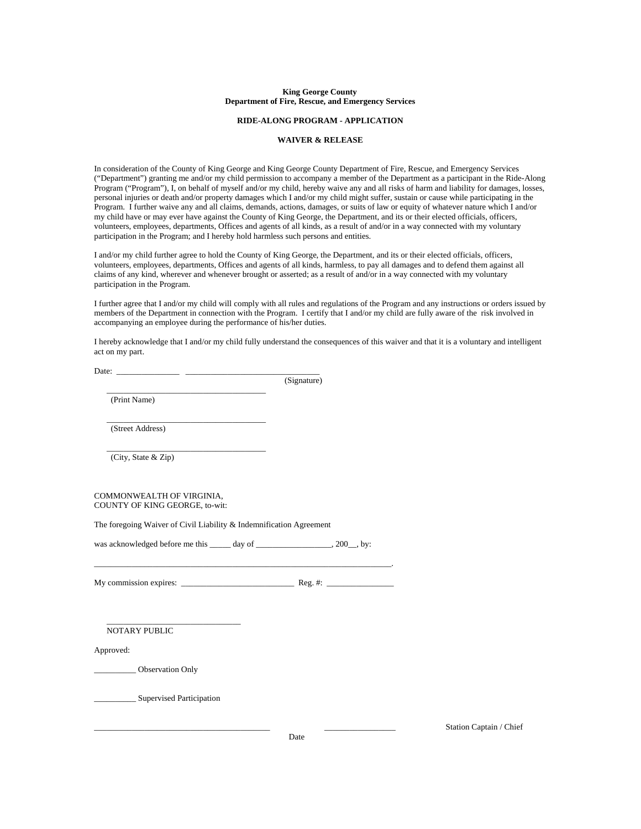#### **King George County Department of Fire, Rescue, and Emergency Services**

#### **RIDE-ALONG PROGRAM - APPLICATION**

#### **WAIVER & RELEASE**

In consideration of the County of King George and King George County Department of Fire, Rescue, and Emergency Services ("Department") granting me and/or my child permission to accompany a member of the Department as a participant in the Ride-Along Program ("Program"), I, on behalf of myself and/or my child, hereby waive any and all risks of harm and liability for damages, losses, personal injuries or death and/or property damages which I and/or my child might suffer, sustain or cause while participating in the Program. I further waive any and all claims, demands, actions, damages, or suits of law or equity of whatever nature which I and/or my child have or may ever have against the County of King George, the Department, and its or their elected officials, officers, volunteers, employees, departments, Offices and agents of all kinds, as a result of and/or in a way connected with my voluntary participation in the Program; and I hereby hold harmless such persons and entities.

I and/or my child further agree to hold the County of King George, the Department, and its or their elected officials, officers, volunteers, employees, departments, Offices and agents of all kinds, harmless, to pay all damages and to defend them against all claims of any kind, wherever and whenever brought or asserted; as a result of and/or in a way connected with my voluntary participation in the Program.

I further agree that I and/or my child will comply with all rules and regulations of the Program and any instructions or orders issued by members of the Department in connection with the Program. I certify that I and/or my child are fully aware of the risk involved in accompanying an employee during the performance of his/her duties.

I hereby acknowledge that I and/or my child fully understand the consequences of this waiver and that it is a voluntary and intelligent act on my part.

|                  | (Signature) |
|------------------|-------------|
| (Print Name)     |             |
| (Street Address) |             |

 $\frac{1}{\sqrt{2}}$  ,  $\frac{1}{\sqrt{2}}$  ,  $\frac{1}{\sqrt{2}}$  ,  $\frac{1}{\sqrt{2}}$  ,  $\frac{1}{\sqrt{2}}$  ,  $\frac{1}{\sqrt{2}}$  ,  $\frac{1}{\sqrt{2}}$  ,  $\frac{1}{\sqrt{2}}$  ,  $\frac{1}{\sqrt{2}}$  ,  $\frac{1}{\sqrt{2}}$  ,  $\frac{1}{\sqrt{2}}$  ,  $\frac{1}{\sqrt{2}}$  ,  $\frac{1}{\sqrt{2}}$  ,  $\frac{1}{\sqrt{2}}$  ,  $\frac{1}{\sqrt{2}}$ 

(City, State & Zip)

COMMONWEALTH OF VIRGINIA, COUNTY OF KING GEORGE, to-wit:

The foregoing Waiver of Civil Liability & Indemnification Agreement

| was acknowledged before me this | day of | $, 200$ , by: |
|---------------------------------|--------|---------------|
|---------------------------------|--------|---------------|

My commission expires:  $\frac{1}{\sqrt{1-\frac{1}{2}}\sqrt{1-\frac{1}{2}}\sqrt{1-\frac{1}{2}}\sqrt{1-\frac{1}{2}}\sqrt{1-\frac{1}{2}}\sqrt{1-\frac{1}{2}}\sqrt{1-\frac{1}{2}}\sqrt{1-\frac{1}{2}}\sqrt{1-\frac{1}{2}}\sqrt{1-\frac{1}{2}}\sqrt{1-\frac{1}{2}}\sqrt{1-\frac{1}{2}}\sqrt{1-\frac{1}{2}}\sqrt{1-\frac{1}{2}}\sqrt{1-\frac{1}{2}}\sqrt{1-\frac{1}{2}}\sqrt{1-\frac{1}{2}}\sqrt{1-\$ 

\_\_\_\_\_\_\_\_\_\_\_\_\_\_\_\_\_\_\_\_\_\_\_\_\_\_\_\_\_\_\_\_\_\_\_\_\_\_\_\_\_\_\_\_\_\_\_\_\_\_\_\_\_\_\_\_\_\_\_\_\_\_\_\_\_\_\_\_\_\_\_.

NOTARY PUBLIC

Approved:

\_\_\_\_\_\_\_\_\_\_ Observation Only

\_\_\_\_\_\_\_\_\_\_ Supervised Participation

\_\_\_\_\_\_\_\_\_\_\_\_\_\_\_\_\_\_\_\_\_\_\_\_\_\_\_\_\_\_\_\_

Station Captain / Chief

Date **Date**